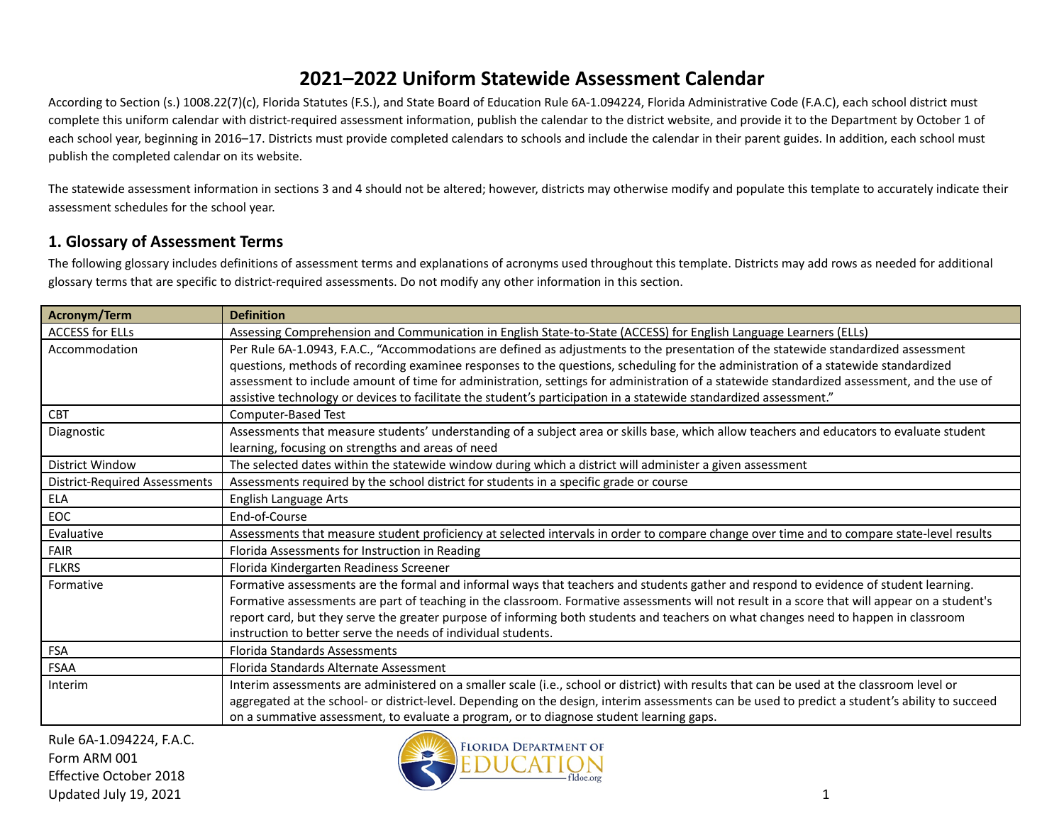According to Section (s.) 1008.22(7)(c), Florida Statutes (F.S.), and State Board of Education Rule 6A-1.094224, Florida Administrative Code (F.A.C), each school district must complete this uniform calendar with district-required assessment information, publish the calendar to the district website, and provide it to the Department by October 1 of each school year, beginning in 2016–17. Districts must provide completed calendars to schools and include the calendar in their parent guides. In addition, each school must publish the completed calendar on its website.

The statewide assessment information in sections 3 and 4 should not be altered; however, districts may otherwise modify and populate this template to accurately indicate their assessment schedules for the school year.

### **1. Glossary of Assessment Terms**

The following glossary includes definitions of assessment terms and explanations of acronyms used throughout this template. Districts may add rows as needed for additional glossary terms that are specific to district-required assessments. Do not modify any other information in this section.

| Acronym/Term                         | <b>Definition</b>                                                                                                                               |
|--------------------------------------|-------------------------------------------------------------------------------------------------------------------------------------------------|
| <b>ACCESS for ELLs</b>               | Assessing Comprehension and Communication in English State-to-State (ACCESS) for English Language Learners (ELLs)                               |
| Accommodation                        | Per Rule 6A-1.0943, F.A.C., "Accommodations are defined as adjustments to the presentation of the statewide standardized assessment             |
|                                      | questions, methods of recording examinee responses to the questions, scheduling for the administration of a statewide standardized              |
|                                      | assessment to include amount of time for administration, settings for administration of a statewide standardized assessment, and the use of     |
|                                      | assistive technology or devices to facilitate the student's participation in a statewide standardized assessment."                              |
| <b>CBT</b>                           | Computer-Based Test                                                                                                                             |
| Diagnostic                           | Assessments that measure students' understanding of a subject area or skills base, which allow teachers and educators to evaluate student       |
|                                      | learning, focusing on strengths and areas of need                                                                                               |
| <b>District Window</b>               | The selected dates within the statewide window during which a district will administer a given assessment                                       |
| <b>District-Required Assessments</b> | Assessments required by the school district for students in a specific grade or course                                                          |
| ELA                                  | English Language Arts                                                                                                                           |
| EOC                                  | End-of-Course                                                                                                                                   |
| Evaluative                           | Assessments that measure student proficiency at selected intervals in order to compare change over time and to compare state-level results      |
| <b>FAIR</b>                          | Florida Assessments for Instruction in Reading                                                                                                  |
| <b>FLKRS</b>                         | Florida Kindergarten Readiness Screener                                                                                                         |
| Formative                            | Formative assessments are the formal and informal ways that teachers and students gather and respond to evidence of student learning.           |
|                                      | Formative assessments are part of teaching in the classroom. Formative assessments will not result in a score that will appear on a student's   |
|                                      | report card, but they serve the greater purpose of informing both students and teachers on what changes need to happen in classroom             |
|                                      | instruction to better serve the needs of individual students.                                                                                   |
| <b>FSA</b>                           | <b>Florida Standards Assessments</b>                                                                                                            |
| <b>FSAA</b>                          | Florida Standards Alternate Assessment                                                                                                          |
| Interim                              | Interim assessments are administered on a smaller scale (i.e., school or district) with results that can be used at the classroom level or      |
|                                      | aggregated at the school- or district-level. Depending on the design, interim assessments can be used to predict a student's ability to succeed |
|                                      | on a summative assessment, to evaluate a program, or to diagnose student learning gaps.                                                         |

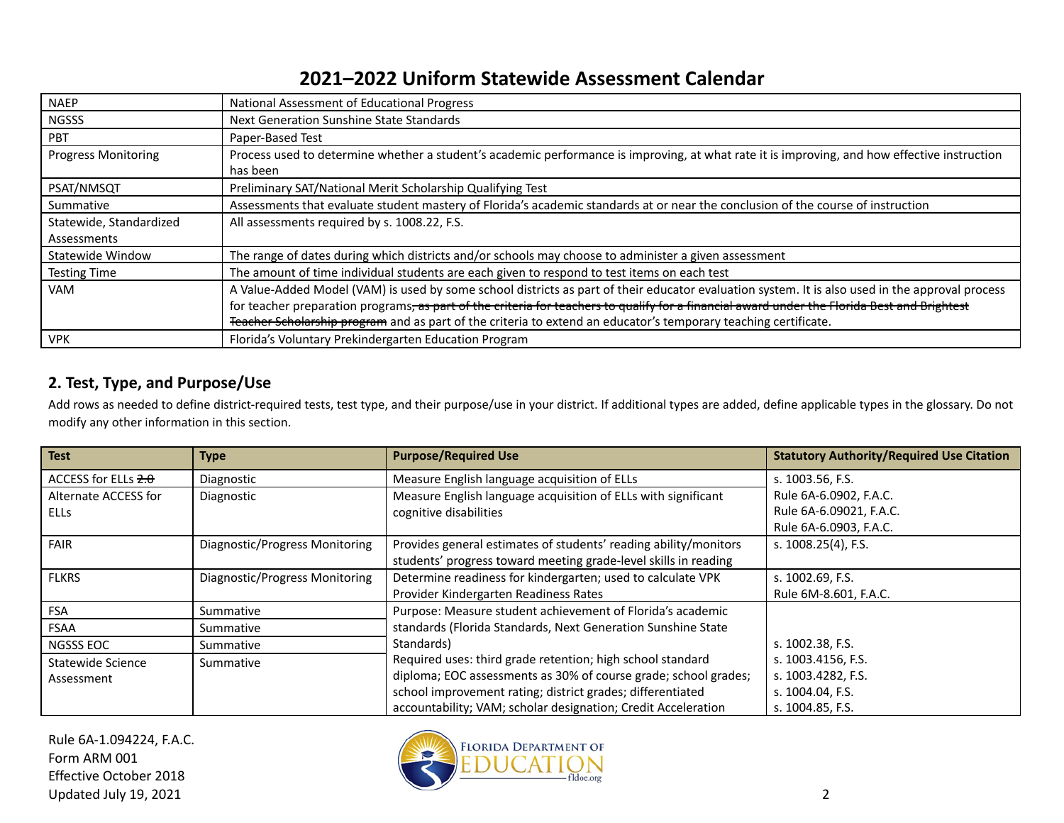| <b>NAEP</b>                | National Assessment of Educational Progress                                                                                                     |
|----------------------------|-------------------------------------------------------------------------------------------------------------------------------------------------|
| <b>NGSSS</b>               | Next Generation Sunshine State Standards                                                                                                        |
| <b>PBT</b>                 | Paper-Based Test                                                                                                                                |
| <b>Progress Monitoring</b> | Process used to determine whether a student's academic performance is improving, at what rate it is improving, and how effective instruction    |
|                            | has been                                                                                                                                        |
| PSAT/NMSQT                 | Preliminary SAT/National Merit Scholarship Qualifying Test                                                                                      |
| Summative                  | Assessments that evaluate student mastery of Florida's academic standards at or near the conclusion of the course of instruction                |
| Statewide, Standardized    | All assessments required by s. 1008.22, F.S.                                                                                                    |
| Assessments                |                                                                                                                                                 |
| Statewide Window           | The range of dates during which districts and/or schools may choose to administer a given assessment                                            |
| <b>Testing Time</b>        | The amount of time individual students are each given to respond to test items on each test                                                     |
| <b>VAM</b>                 | A Value-Added Model (VAM) is used by some school districts as part of their educator evaluation system. It is also used in the approval process |
|                            | for teacher preparation programs, as part of the criteria for teachers to qualify for a financial award under the Florida Best and Brightest    |
|                            | Teacher Scholarship program and as part of the criteria to extend an educator's temporary teaching certificate.                                 |
| <b>VPK</b>                 | Florida's Voluntary Prekindergarten Education Program                                                                                           |

### **2. Test, Type, and Purpose/Use**

Add rows as needed to define district-required tests, test type, and their purpose/use in your district. If additional types are added, define applicable types in the glossary. Do not modify any other information in this section.

| <b>Test</b>           | <b>Type</b>                    | <b>Purpose/Required Use</b>                                      | <b>Statutory Authority/Required Use Citation</b> |
|-----------------------|--------------------------------|------------------------------------------------------------------|--------------------------------------------------|
| ACCESS for ELLs $2.0$ | Diagnostic                     | Measure English language acquisition of ELLs                     | s. 1003.56, F.S.                                 |
| Alternate ACCESS for  | Diagnostic                     | Measure English language acquisition of ELLs with significant    | Rule 6A-6.0902, F.A.C.                           |
| ELLs                  |                                | cognitive disabilities                                           | Rule 6A-6.09021, F.A.C.                          |
|                       |                                |                                                                  | Rule 6A-6.0903, F.A.C.                           |
| <b>FAIR</b>           | Diagnostic/Progress Monitoring | Provides general estimates of students' reading ability/monitors | s. 1008.25(4), F.S.                              |
|                       |                                | students' progress toward meeting grade-level skills in reading  |                                                  |
| <b>FLKRS</b>          | Diagnostic/Progress Monitoring | Determine readiness for kindergarten; used to calculate VPK      | s. 1002.69, F.S.                                 |
|                       |                                | Provider Kindergarten Readiness Rates                            | Rule 6M-8.601, F.A.C.                            |
| <b>FSA</b>            | Summative                      | Purpose: Measure student achievement of Florida's academic       |                                                  |
| FSAA                  | Summative                      | standards (Florida Standards, Next Generation Sunshine State     |                                                  |
| <b>NGSSS EOC</b>      | Summative                      | Standards)                                                       | s. 1002.38, F.S.                                 |
| Statewide Science     | Summative                      | Required uses: third grade retention; high school standard       | s. 1003.4156, F.S.                               |
| Assessment            |                                | diploma; EOC assessments as 30% of course grade; school grades;  | s. 1003.4282, F.S.                               |
|                       |                                | school improvement rating; district grades; differentiated       | s. 1004.04, F.S.                                 |
|                       |                                | accountability; VAM; scholar designation; Credit Acceleration    | s. 1004.85, F.S.                                 |

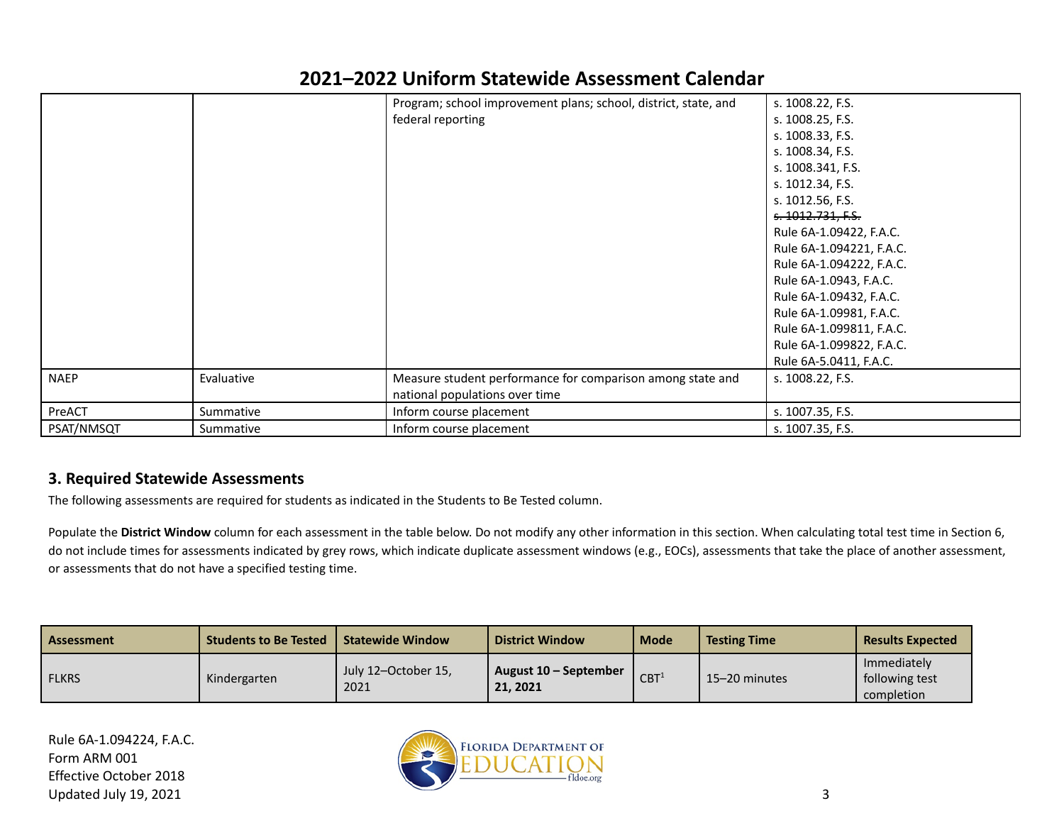|             |            | Program; school improvement plans; school, district, state, and | s. 1008.22, F.S.         |
|-------------|------------|-----------------------------------------------------------------|--------------------------|
|             |            | federal reporting                                               | s. 1008.25, F.S.         |
|             |            |                                                                 | s. 1008.33, F.S.         |
|             |            |                                                                 | s. 1008.34, F.S.         |
|             |            |                                                                 | s. 1008.341, F.S.        |
|             |            |                                                                 | s. 1012.34, F.S.         |
|             |            |                                                                 | s. 1012.56, F.S.         |
|             |            |                                                                 | s. 1012.731, F.S.        |
|             |            |                                                                 | Rule 6A-1.09422, F.A.C.  |
|             |            |                                                                 | Rule 6A-1.094221, F.A.C. |
|             |            |                                                                 | Rule 6A-1.094222, F.A.C. |
|             |            |                                                                 | Rule 6A-1.0943, F.A.C.   |
|             |            |                                                                 | Rule 6A-1.09432, F.A.C.  |
|             |            |                                                                 | Rule 6A-1.09981, F.A.C.  |
|             |            |                                                                 | Rule 6A-1.099811, F.A.C. |
|             |            |                                                                 | Rule 6A-1.099822, F.A.C. |
|             |            |                                                                 | Rule 6A-5.0411, F.A.C.   |
| <b>NAEP</b> | Evaluative | Measure student performance for comparison among state and      | s. 1008.22, F.S.         |
|             |            | national populations over time                                  |                          |
| PreACT      | Summative  | Inform course placement                                         | s. 1007.35, F.S.         |
| PSAT/NMSQT  | Summative  | Inform course placement                                         | s. 1007.35, F.S.         |

#### **3. Required Statewide Assessments**

The following assessments are required for students as indicated in the Students to Be Tested column.

Populate the **District Window** column for each assessment in the table below. Do not modify any other information in this section. When calculating total test time in Section 6, do not include times for assessments indicated by grey rows, which indicate duplicate assessment windows (e.g., EOCs), assessments that take the place of another assessment, or assessments that do not have a specified testing time.

| Assessment   | <b>Students to Be Tested</b> | <b>Statewide Window</b>     | <b>District Window</b>            | <b>Mode</b>      | <b>Testing Time</b> | <b>Results Expected</b>                     |
|--------------|------------------------------|-----------------------------|-----------------------------------|------------------|---------------------|---------------------------------------------|
| <b>FLKRS</b> | Kindergarten                 | July 12-October 15,<br>2021 | August 10 – September<br>21, 2021 | CBT <sup>1</sup> | 15-20 minutes       | Immediately<br>following test<br>completion |

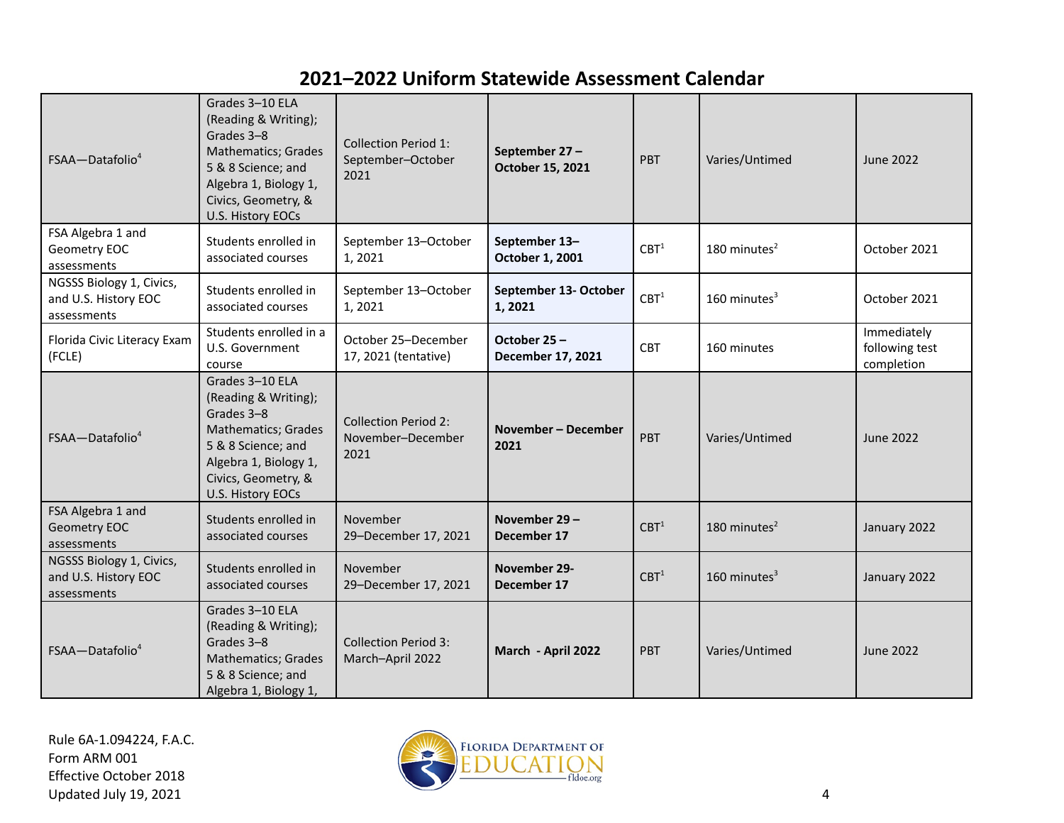| FSAA-Datafolio <sup>4</sup>                                     | Grades 3-10 ELA<br>(Reading & Writing);<br>Grades 3-8<br>Mathematics; Grades<br>5 & 8 Science; and<br>Algebra 1, Biology 1,<br>Civics, Geometry, &<br>U.S. History EOCs | <b>Collection Period 1:</b><br>September-October<br>2021 | September 27-<br>October 15, 2021 | <b>PBT</b>       | Varies/Untimed             | <b>June 2022</b>                            |
|-----------------------------------------------------------------|-------------------------------------------------------------------------------------------------------------------------------------------------------------------------|----------------------------------------------------------|-----------------------------------|------------------|----------------------------|---------------------------------------------|
| FSA Algebra 1 and<br>Geometry EOC<br>assessments                | Students enrolled in<br>associated courses                                                                                                                              | September 13-October<br>1,2021                           | September 13-<br>October 1, 2001  | CBT <sup>1</sup> | 180 minutes $2$            | October 2021                                |
| NGSSS Biology 1, Civics,<br>and U.S. History EOC<br>assessments | Students enrolled in<br>associated courses                                                                                                                              | September 13-October<br>1,2021                           | September 13- October<br>1,2021   | CBT <sup>1</sup> | $160$ minutes <sup>3</sup> | October 2021                                |
| Florida Civic Literacy Exam<br>(FCLE)                           | Students enrolled in a<br>October 25-December<br>U.S. Government<br>17, 2021 (tentative)<br>course                                                                      |                                                          | October 25-<br>December 17, 2021  | <b>CBT</b>       | 160 minutes                | Immediately<br>following test<br>completion |
| $FSAA - Datafolio4$                                             | Grades 3-10 ELA<br>(Reading & Writing);<br>Grades 3-8<br>Mathematics; Grades<br>5 & 8 Science; and<br>Algebra 1, Biology 1,<br>Civics, Geometry, &<br>U.S. History EOCs | <b>Collection Period 2:</b><br>November-December<br>2021 | November - December<br>2021       | PBT              | Varies/Untimed             | June 2022                                   |
| FSA Algebra 1 and<br>Geometry EOC<br>assessments                | Students enrolled in<br>associated courses                                                                                                                              | November<br>29-December 17, 2021                         | November 29-<br>December 17       | CBT <sup>1</sup> | 180 minutes $2$            | January 2022                                |
| NGSSS Biology 1, Civics,<br>and U.S. History EOC<br>assessments | Students enrolled in<br>associated courses                                                                                                                              | November<br>29-December 17, 2021                         | November 29-<br>December 17       | CBT <sup>1</sup> | $160$ minutes <sup>3</sup> | January 2022                                |
| FSAA-Datafolio <sup>4</sup>                                     | Grades 3-10 ELA<br>(Reading & Writing);<br>Grades 3-8<br>Mathematics; Grades<br>5 & 8 Science; and<br>Algebra 1, Biology 1,                                             | <b>Collection Period 3:</b><br>March-April 2022          | March - April 2022                | <b>PBT</b>       | Varies/Untimed             | <b>June 2022</b>                            |

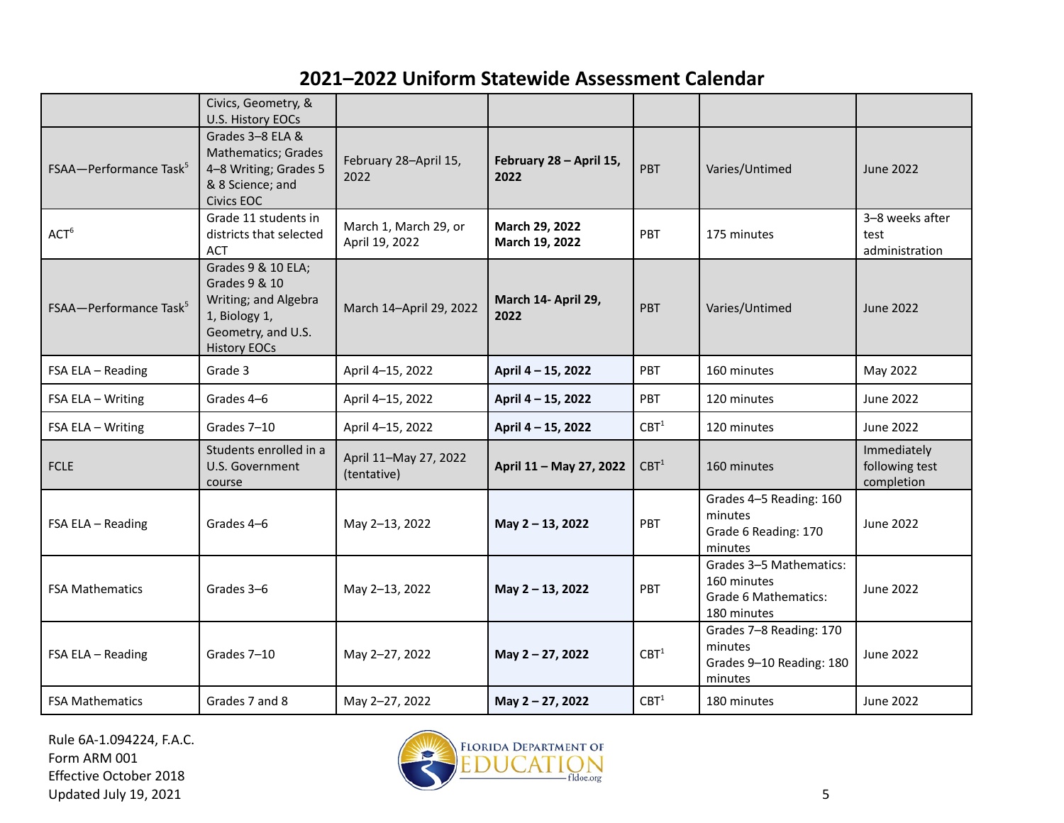|                                    | Civics, Geometry, &<br>U.S. History EOCs                                                                                  |                                         |                                  |                  |                                                                               |                                             |
|------------------------------------|---------------------------------------------------------------------------------------------------------------------------|-----------------------------------------|----------------------------------|------------------|-------------------------------------------------------------------------------|---------------------------------------------|
| FSAA-Performance Task <sup>5</sup> | Grades 3-8 ELA &<br>Mathematics; Grades<br>4-8 Writing; Grades 5<br>& 8 Science; and<br><b>Civics EOC</b>                 | February 28-April 15,<br>2022           | February 28 - April 15,<br>2022  | PBT              | Varies/Untimed                                                                | <b>June 2022</b>                            |
| ACT <sup>6</sup>                   | Grade 11 students in<br>districts that selected<br><b>ACT</b>                                                             | March 1, March 29, or<br>April 19, 2022 | March 29, 2022<br>March 19, 2022 | PBT              | 175 minutes                                                                   | 3-8 weeks after<br>test<br>administration   |
| FSAA-Performance Task <sup>5</sup> | Grades 9 & 10 ELA;<br>Grades 9 & 10<br>Writing; and Algebra<br>1, Biology 1,<br>Geometry, and U.S.<br><b>History EOCs</b> | March 14-April 29, 2022                 | March 14- April 29,<br>2022      | <b>PRT</b>       | Varies/Untimed                                                                | June 2022                                   |
| FSA ELA - Reading                  | Grade 3                                                                                                                   | April 4-15, 2022                        | April 4 - 15, 2022               | PBT              | 160 minutes                                                                   | May 2022                                    |
| FSA ELA - Writing                  | Grades 4-6                                                                                                                | April 4-15, 2022                        | April 4 - 15, 2022               | PBT              | 120 minutes                                                                   | <b>June 2022</b>                            |
| FSA ELA - Writing                  | Grades 7-10                                                                                                               | April 4-15, 2022                        | April 4 - 15, 2022               | CBT <sup>1</sup> | 120 minutes                                                                   | <b>June 2022</b>                            |
| <b>FCLE</b>                        | Students enrolled in a<br>U.S. Government<br>course                                                                       | April 11-May 27, 2022<br>(tentative)    | April 11 - May 27, 2022          | CBT <sup>1</sup> | 160 minutes                                                                   | Immediately<br>following test<br>completion |
| FSA ELA - Reading                  | Grades 4-6                                                                                                                | May 2-13, 2022                          | May 2 - 13, 2022                 | PBT              | Grades 4-5 Reading: 160<br>minutes<br>Grade 6 Reading: 170<br>minutes         | <b>June 2022</b>                            |
| <b>FSA Mathematics</b>             | Grades 3-6                                                                                                                | May 2-13, 2022                          | May 2 - 13, 2022                 | PBT              | Grades 3-5 Mathematics:<br>160 minutes<br>Grade 6 Mathematics:<br>180 minutes | <b>June 2022</b>                            |
| FSA ELA - Reading                  | Grades 7-10                                                                                                               | May 2-27, 2022                          | May 2 - 27, 2022                 | CBT <sup>1</sup> | Grades 7-8 Reading: 170<br>minutes<br>Grades 9-10 Reading: 180<br>minutes     | <b>June 2022</b>                            |
| <b>FSA Mathematics</b>             | Grades 7 and 8                                                                                                            | May 2-27, 2022                          | May 2 - 27, 2022                 | CBT <sup>1</sup> | 180 minutes                                                                   | <b>June 2022</b>                            |

Rule 6A-1.094224, F.A.C. Form ARM 001 Effective October 2018 Updated July 19, 2021 5

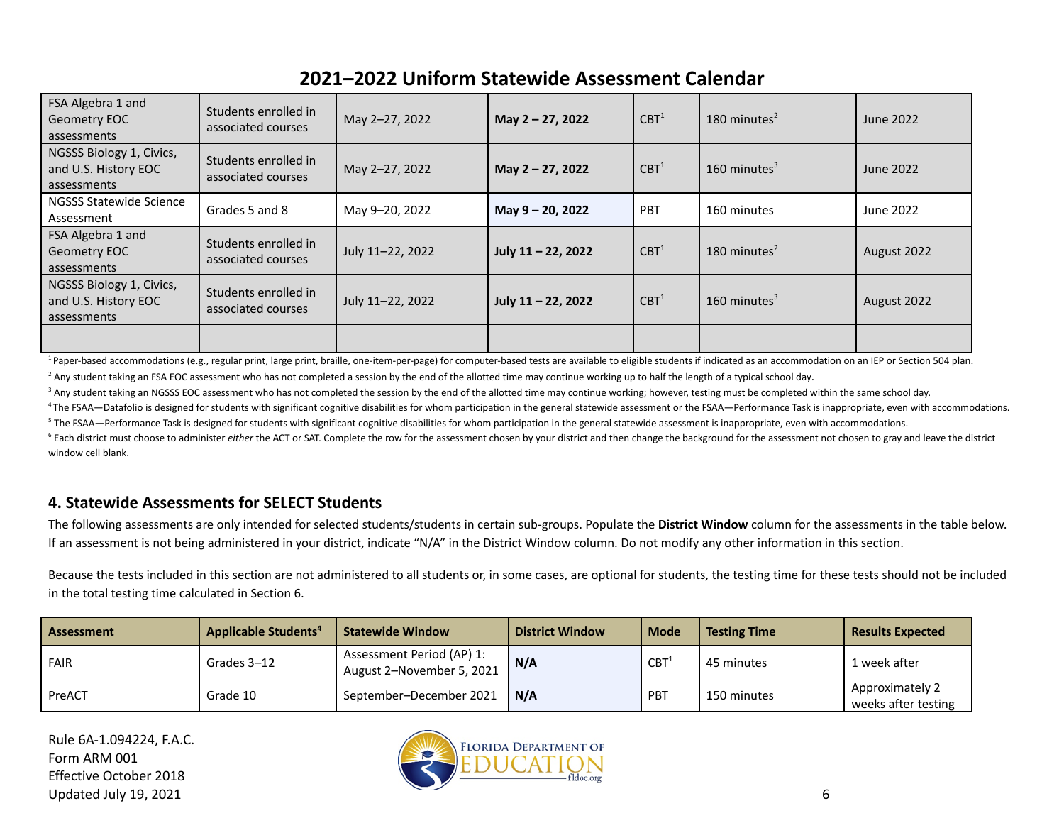| FSA Algebra 1 and<br>Geometry EOC<br>assessments                | Students enrolled in<br>associated courses | May 2-27, 2022   | May 2 - 27, 2022      | CBT <sup>1</sup> | 180 minutes $2$ | June 2022   |
|-----------------------------------------------------------------|--------------------------------------------|------------------|-----------------------|------------------|-----------------|-------------|
| NGSSS Biology 1, Civics,<br>and U.S. History EOC<br>assessments | Students enrolled in<br>associated courses | May 2-27, 2022   | May 2 - 27, 2022      | CBT <sup>1</sup> | 160 minutes $3$ | June 2022   |
| <b>NGSSS Statewide Science</b><br>Assessment                    | Grades 5 and 8                             | May 9-20, 2022   | May 9 - 20, 2022      | PBT              | 160 minutes     | June 2022   |
| FSA Algebra 1 and<br>Geometry EOC<br>assessments                | Students enrolled in<br>associated courses | July 11-22, 2022 | July 11 - 22, 2022    | CBT <sup>1</sup> | 180 minutes $2$ | August 2022 |
| NGSSS Biology 1, Civics,<br>and U.S. History EOC<br>assessments | Students enrolled in<br>associated courses | July 11-22, 2022 | July $11 - 22$ , 2022 | CBT <sup>1</sup> | 160 minutes $3$ | August 2022 |
|                                                                 |                                            |                  |                       |                  |                 |             |

<sup>1</sup> Paper-based accommodations (e.g., regular print, large print, braille, one-item-per-page) for computer-based tests are available to eligible students if indicated as an accommodation on an IEP or Section 504 plan.

<sup>2</sup> Any student taking an FSA EOC assessment who has not completed a session by the end of the allotted time may continue working up to half the length of a typical school day.

<sup>3</sup> Any student taking an NGSSS EOC assessment who has not completed the session by the end of the allotted time may continue working; however, testing must be completed within the same school day.

<sup>4</sup> The FSAA—Datafolio is designed for students with significant cognitive disabilities for whom participation in the general statewide assessment or the FSAA—Performance Task is inappropriate, even with accommodations. <sup>5</sup> The FSAA—Performance Task is designed for students with significant cognitive disabilities for whom participation in the general statewide assessment is inappropriate, even with accommodations.

<sup>6</sup> Each district must choose to administer *either* the ACT or SAT. Complete the row for the assessment chosen by your district and then change the background for the assessment not chosen to gray and leave the district window cell blank.

#### **4. Statewide Assessments for SELECT Students**

The following assessments are only intended for selected students/students in certain sub-groups. Populate the **District Window** column for the assessments in the table below. If an assessment is not being administered in your district, indicate "N/A" in the District Window column. Do not modify any other information in this section.

Because the tests included in this section are not administered to all students or, in some cases, are optional for students, the testing time for these tests should not be included in the total testing time calculated in Section 6.

| Assessment  | <b>Applicable Students<sup>4</sup></b> | <b>Statewide Window</b>                                | <b>District Window</b> | <b>Mode</b>      | <b>Testing Time</b> | <b>Results Expected</b>                |
|-------------|----------------------------------------|--------------------------------------------------------|------------------------|------------------|---------------------|----------------------------------------|
| <b>FAIR</b> | Grades 3-12                            | Assessment Period (AP) 1:<br>August 2-November 5, 2021 | N/A                    | CBT <sup>1</sup> | 45 minutes          | 1 week after                           |
| PreACT      | Grade 10                               | September-December 2021                                | N/A                    | PBT              | 150 minutes         | Approximately 2<br>weeks after testing |

Rule 6A-1.094224, F.A.C. Form ARM 001 Effective October 2018 Updated July 19, 2021  $\sim$  6

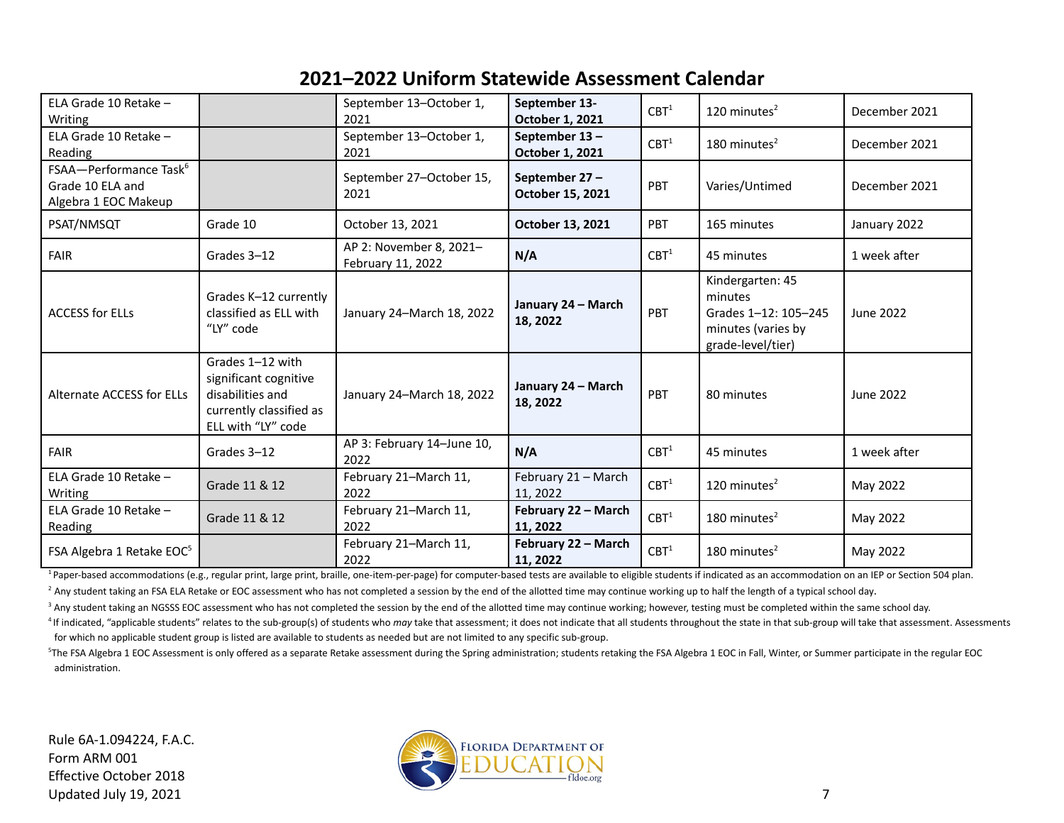| ELA Grade 10 Retake -<br>Writing                                               |                                                                                                                | September 13-October 1,<br>2021                                  | September 13-<br>October 1, 2021  | CBT <sup>1</sup> | 120 minutes $2$                                                                                | December 2021    |
|--------------------------------------------------------------------------------|----------------------------------------------------------------------------------------------------------------|------------------------------------------------------------------|-----------------------------------|------------------|------------------------------------------------------------------------------------------------|------------------|
| ELA Grade 10 Retake -<br>Reading                                               |                                                                                                                | September 13-October 1,<br>2021                                  | September 13-<br>October 1, 2021  | CBT <sup>1</sup> | 180 minutes <sup>2</sup>                                                                       | December 2021    |
| FSAA-Performance Task <sup>6</sup><br>Grade 10 ELA and<br>Algebra 1 EOC Makeup |                                                                                                                | September 27-October 15,<br>2021                                 | September 27-<br>October 15, 2021 | PBT              | Varies/Untimed                                                                                 | December 2021    |
| PSAT/NMSQT                                                                     | Grade 10                                                                                                       | October 13, 2021                                                 | October 13, 2021                  | PBT              | 165 minutes                                                                                    | January 2022     |
| <b>FAIR</b>                                                                    | Grades 3-12                                                                                                    | AP 2: November 8, 2021-<br>February 11, 2022                     | N/A                               | CBT <sup>1</sup> | 45 minutes                                                                                     | 1 week after     |
| <b>ACCESS for ELLs</b>                                                         | Grades K-12 currently<br>classified as ELL with<br>"LY" code                                                   | January 24-March 18, 2022                                        | January 24 - March<br>18, 2022    | PBT              | Kindergarten: 45<br>minutes<br>Grades 1-12: 105-245<br>minutes (varies by<br>grade-level/tier) | <b>June 2022</b> |
| <b>Alternate ACCESS for ELLs</b>                                               | Grades 1-12 with<br>significant cognitive<br>disabilities and<br>currently classified as<br>ELL with "LY" code | January 24 - March<br>January 24-March 18, 2022<br>18, 2022      |                                   | PBT              | 80 minutes                                                                                     | <b>June 2022</b> |
| <b>FAIR</b>                                                                    | Grades 3-12                                                                                                    | AP 3: February 14-June 10,<br>2022                               | N/A                               | CBT <sup>1</sup> | 45 minutes                                                                                     | 1 week after     |
| ELA Grade 10 Retake -<br>Writing                                               | Grade 11 & 12                                                                                                  | February 21-March 11,<br>February 21 - March<br>2022<br>11, 2022 |                                   | CBT <sup>1</sup> | 120 minutes $2$                                                                                | May 2022         |
| ELA Grade 10 Retake -<br>Reading                                               | Grade 11 & 12                                                                                                  | February 21-March 11,<br>2022                                    | February 22 - March<br>11, 2022   | CBT <sup>1</sup> | 180 minutes $2$                                                                                | May 2022         |
| FSA Algebra 1 Retake EOC <sup>5</sup>                                          |                                                                                                                | February 21-March 11,<br>2022                                    | February 22 - March<br>11, 2022   | CBT <sup>1</sup> | 180 minutes $2$                                                                                | May 2022         |

<sup>1</sup> Paper-based accommodations (e.g., regular print, large print, braille, one-item-per-page) for computer-based tests are available to eligible students if indicated as an accommodation on an IEP or Section 504 plan.

<sup>2</sup> Any student taking an FSA ELA Retake or EOC assessment who has not completed a session by the end of the allotted time may continue working up to half the length of a typical school day.

<sup>3</sup> Any student taking an NGSSS EOC assessment who has not completed the session by the end of the allotted time may continue working; however, testing must be completed within the same school day.

<sup>4</sup> If indicated, "applicable students" relates to the sub-group(s) of students who may take that assessment; it does not indicate that all students throughout the state in that sub-group will take that assessment. Assessm for which no applicable student group is listed are available to students as needed but are not limited to any specific sub-group.

<sup>5</sup>The FSA Algebra 1 EOC Assessment is only offered as a separate Retake assessment during the Spring administration; students retaking the FSA Algebra 1 EOC in Fall, Winter, or Summer participate in the regular EOC administration.

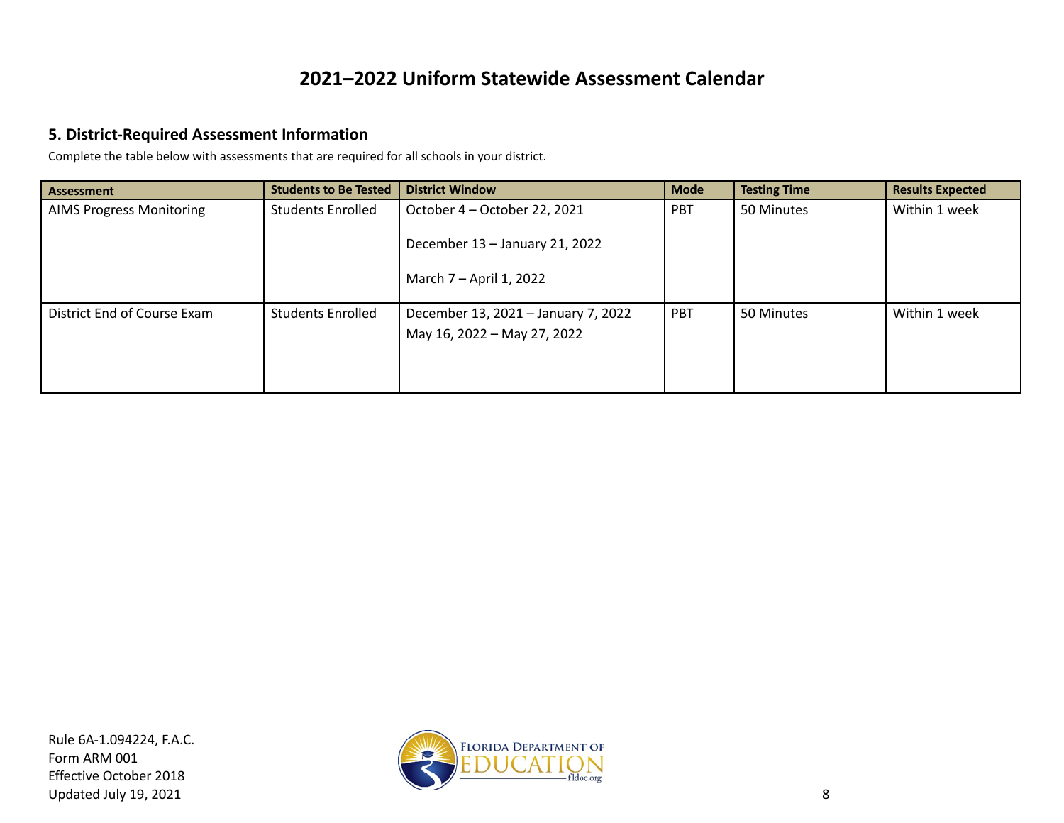#### **5. District-Required Assessment Information**

Complete the table below with assessments that are required for all schools in your district.

| <b>Assessment</b>               | <b>Students to Be Tested</b> | <b>District Window</b>                                             | <b>Mode</b> | <b>Testing Time</b> | <b>Results Expected</b> |
|---------------------------------|------------------------------|--------------------------------------------------------------------|-------------|---------------------|-------------------------|
| <b>AIMS Progress Monitoring</b> | <b>Students Enrolled</b>     | October 4 - October 22, 2021                                       | <b>PBT</b>  | 50 Minutes          | Within 1 week           |
|                                 |                              | December 13 - January 21, 2022<br>March 7 – April 1, 2022          |             |                     |                         |
| District End of Course Exam     | <b>Students Enrolled</b>     | December 13, 2021 - January 7, 2022<br>May 16, 2022 - May 27, 2022 | PBT         | 50 Minutes          | Within 1 week           |